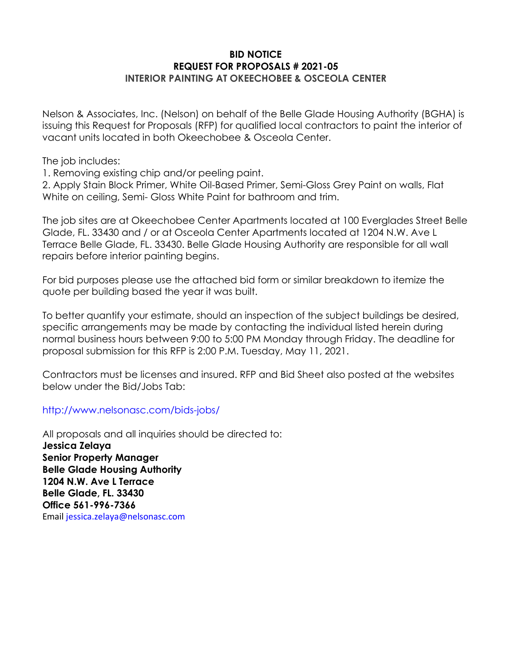#### **BID NOTICE REQUEST FOR PROPOSALS # 2021-05 INTERIOR PAINTING AT OKEECHOBEE & OSCEOLA CENTER**

Nelson & Associates, Inc. (Nelson) on behalf of the Belle Glade Housing Authority (BGHA) is issuing this Request for Proposals (RFP) for qualified local contractors to paint the interior of vacant units located in both Okeechobee & Osceola Center.

The job includes:

1. Removing existing chip and/or peeling paint.

2. Apply Stain Block Primer, White Oil-Based Primer, Semi-Gloss Grey Paint on walls, Flat White on ceiling, Semi- Gloss White Paint for bathroom and trim.

The job sites are at Okeechobee Center Apartments located at 100 Everglades Street Belle Glade, FL. 33430 and / or at Osceola Center Apartments located at 1204 N.W. Ave L Terrace Belle Glade, FL. 33430. Belle Glade Housing Authority are responsible for all wall repairs before interior painting begins.

For bid purposes please use the attached bid form or similar breakdown to itemize the quote per building based the year it was built.

To better quantify your estimate, should an inspection of the subject buildings be desired, specific arrangements may be made by contacting the individual listed herein during normal business hours between 9:00 to 5:00 PM Monday through Friday. The deadline for proposal submission for this RFP is 2:00 P.M. Tuesday, May 11, 2021.

Contractors must be licenses and insured. RFP and Bid Sheet also posted at the websites below under the Bid/Jobs Tab:

http://www.nelsonasc.com/bids-jobs/

All proposals and all inquiries should be directed to: **Jessica Zelaya Senior Property Manager Belle Glade Housing Authority 1204 N.W. Ave L Terrace Belle Glade, FL. 33430 Office 561-996-7366**  Email jessica.zelaya@nelsonasc.com